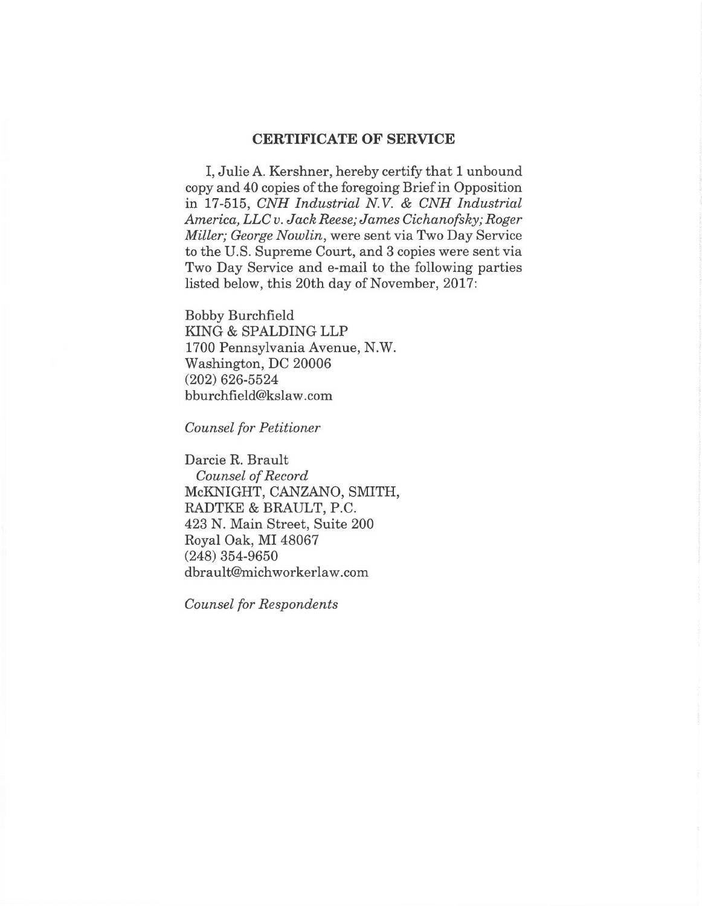## **CERTIFICATE OF SERVICE**

I, Julie A. Kershner, hereby certify that **1** unbound copy and 40 copies of the foregoing Brief in Opposition in 17-515, *CNH Industrial N. V.* & *CNH Industrial America, LLC v. Jack Reese; James Cichanofsky; Roger Miller; George Nowlin,* were sent via Two Day Service to the U.S. Supreme Court, and 3 copies were sent via Two Day Service and e-mail to the following parties listed below, this 20th day of November, 2017:

Bobby Burchfield KING & SPALDING LLP 1700 Pennsylvania Avenue, N.W. Washington, DC 20006 (202) 626-5524 bburchfield@kslaw.com

*Counsel for Petitioner* 

Darcie R. Brault *Counsel of Record*  McKNIGHT, CANZANO, SMITH, RADTKE & BRAULT, P.C. 423 N. Main Street, Suite 200 Royal Oak, MI 48067 (248) 354-9650 dbrault@michworkerlaw.com

*Counsel for Respondents*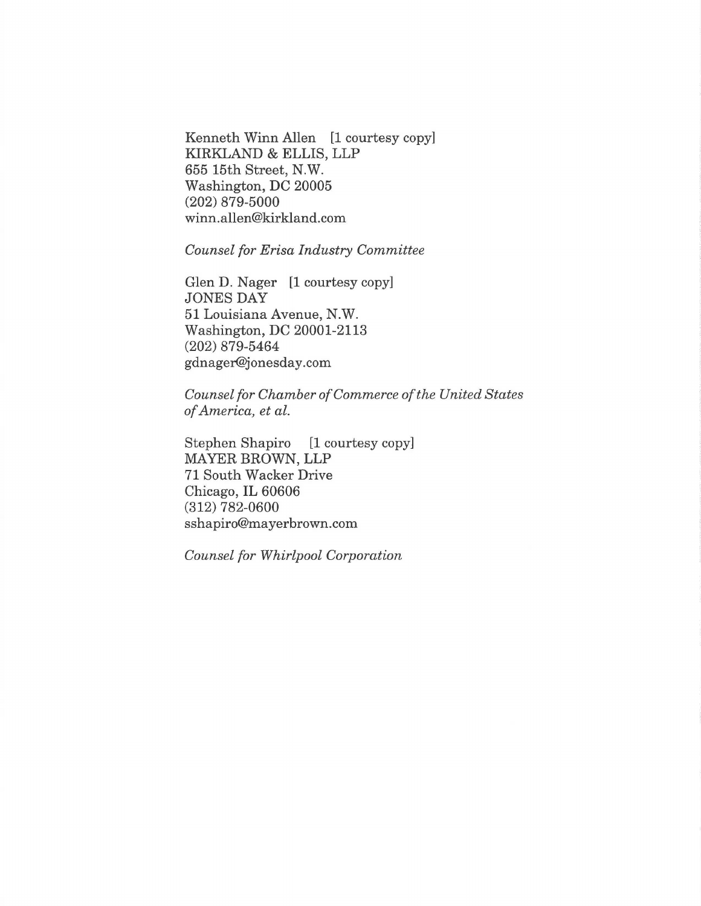Kenneth Winn Allen [1 courtesy copy] KIRKLAND & ELLIS, LLP 655 15th Street, N.W. Washington, DC 20005 (202) 879-5000 winn.allen@kirkland.com

## *Counsel for Erisa Industry Committee*

Glen D. Nager [1 courtesy copy] JONES DAY 51 Louisiana Avenue, N.W. Washington, DC 20001-2113 (202) 879-5464 gdnager@jonesday.com

*Counsel for Chamber of Commerce of the United States of America, et al.* 

Stephen Shapiro [1 courtesy copy] MAYER BROWN, LLP 71 South Wacker Drive Chicago, IL 60606 (312) 782-0600 ssha piro@mayerbrown.com

*Counsel for Whirlpool Corporation*